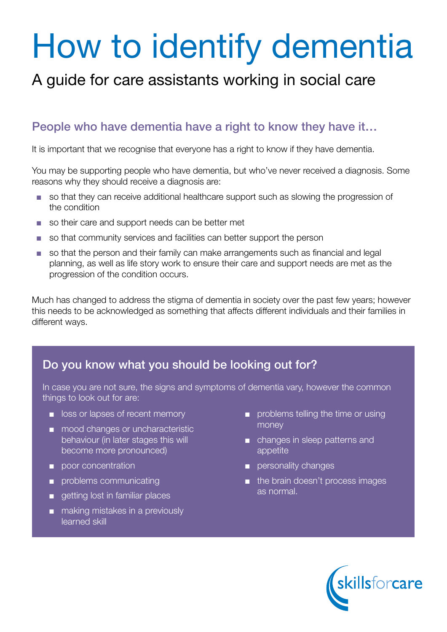# How to identify dementia

## A guide for care assistants working in social care

### People who have dementia have a right to know they have it…

It is important that we recognise that everyone has a right to know if they have dementia.

You may be supporting people who have dementia, but who've never received a diagnosis. Some reasons why they should receive a diagnosis are:

- so that they can receive additional healthcare support such as slowing the progression of the condition
- so their care and support needs can be better met
- so that community services and facilities can better support the person
- so that the person and their family can make arrangements such as financial and legal planning, as well as life story work to ensure their care and support needs are met as the progression of the condition occurs.

Much has changed to address the stigma of dementia in society over the past few years; however this needs to be acknowledged as something that affects different individuals and their families in different ways.

### Do you know what you should be looking out for?

In case you are not sure, the signs and symptoms of dementia vary, however the common things to look out for are:

- loss or lapses of recent memory
- mood changes or uncharacteristic behaviour (in later stages this will become more pronounced)
- poor concentration
- problems communicating
- getting lost in familiar places
- making mistakes in a previously learned skill
- problems telling the time or using money
- changes in sleep patterns and appetite
- personality changes
- the brain doesn't process images as normal.